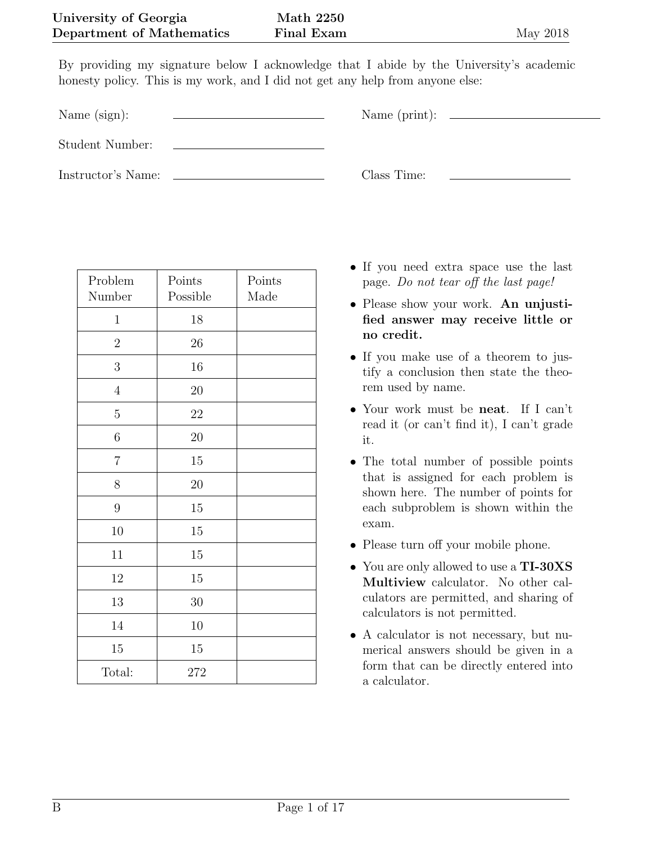By providing my signature below I acknowledge that I abide by the University's academic honesty policy. This is my work, and I did not get any help from anyone else:

Name (sign):  $\qquad \qquad \qquad$  Name (print):

Student Number:

Instructor's Name: Class Time:

| Problem<br>Number | Points<br>Possible | Points<br>Made |
|-------------------|--------------------|----------------|
| $\mathbf{1}$      | 18                 |                |
| $\overline{2}$    | 26                 |                |
| 3                 | 16                 |                |
| $\overline{4}$    | $20\,$             |                |
| $\bf 5$           | $22\,$             |                |
| $\!6\,$           | $20\,$             |                |
| $\overline{7}$    | 15                 |                |
| 8                 | 20                 |                |
| $\overline{9}$    | 15                 |                |
| 10                | $15\,$             |                |
| 11                | 15                 |                |
| 12                | 15                 |                |
| 13                | 30                 |                |
| 14                | 10                 |                |
| 15                | 15                 |                |
| Total:            | 272                |                |

- If you need extra space use the last page. Do not tear off the last page!
- Please show your work. An unjustified answer may receive little or no credit.
- If you make use of a theorem to justify a conclusion then state the theorem used by name.
- Your work must be **neat**. If I can't read it (or can't find it), I can't grade it.
- The total number of possible points that is assigned for each problem is shown here. The number of points for each subproblem is shown within the exam.
- Please turn off your mobile phone.
- You are only allowed to use a TI-30XS Multiview calculator. No other calculators are permitted, and sharing of calculators is not permitted.
- A calculator is not necessary, but numerical answers should be given in a form that can be directly entered into a calculator.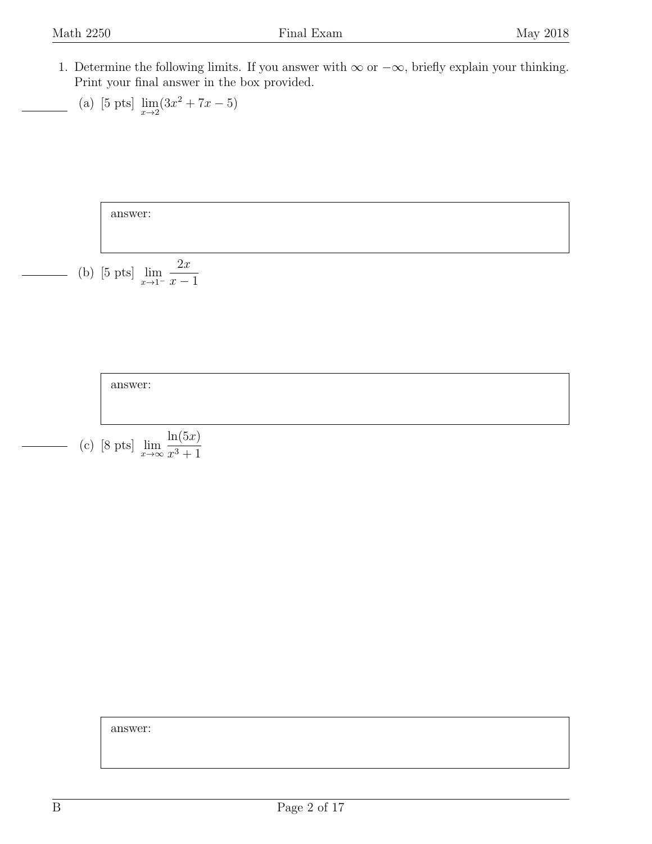<span id="page-1-0"></span>1. Determine the following limits. If you answer with  $\infty$  or  $-\infty$ , briefly explain your thinking. Print your final answer in the box provided.

(a) [5 pts] 
$$
\lim_{x \to 2} (3x^2 + 7x - 5)
$$

answer:

(b) [5 pts] 
$$
\lim_{x \to 1^{-}} \frac{2x}{x-1}
$$



answer: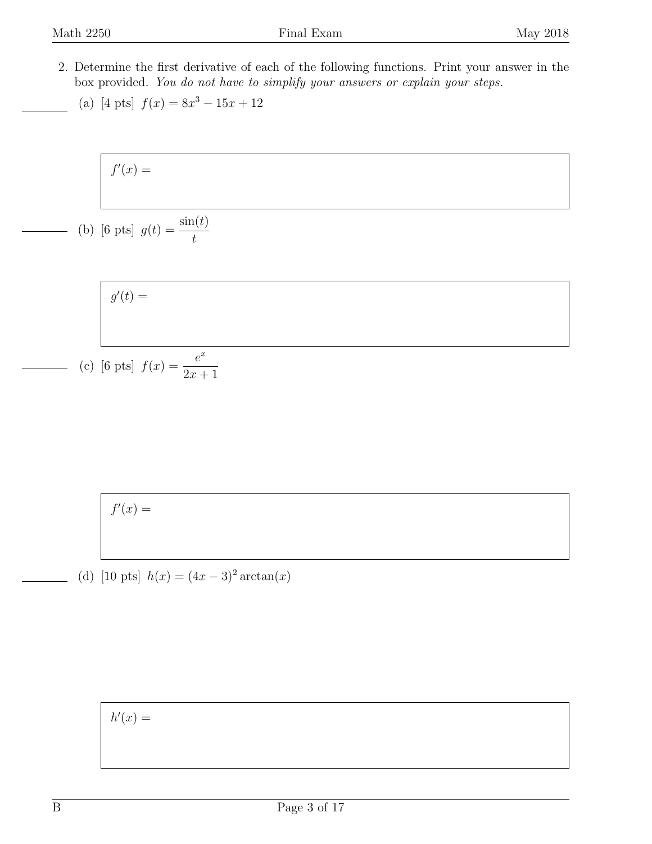- <span id="page-2-0"></span>2. Determine the first derivative of each of the following functions. Print your answer in the box provided. You do not have to simplify your answers or explain your steps.
	- (a) [4 pts]  $f(x) = 8x^3 15x + 12$

$$
f'(x) =
$$

(b) [6 pts] 
$$
g(t) = \frac{\sin(t)}{t}
$$

$$
g'(t) =
$$
  
[6 pts]  $f(x) = \frac{e^x}{2x + 1}$ 

$$
f'(x) =
$$

 $(c)$ 

(d) [10 pts]  $h(x) = (4x - 3)^2 \arctan(x)$ 

 $h'(x) =$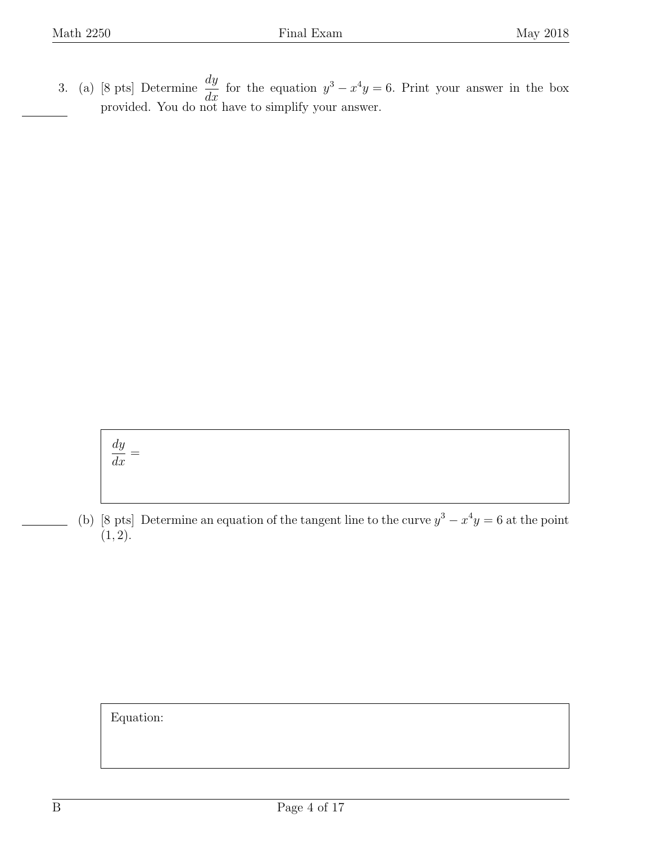<span id="page-3-0"></span>3. (a) [8 pts] Determine  $\frac{dy}{dx}$  $\frac{dy}{dx}$  for the equation  $y^3 - x^4y = 6$ . Print your answer in the box provided. You do not have to simplify your answer.

$$
\frac{dy}{dx} =
$$

(b) [8 pts] Determine an equation of the tangent line to the curve  $y^3 - x^4y = 6$  at the point  $(1, 2).$ 

Equation: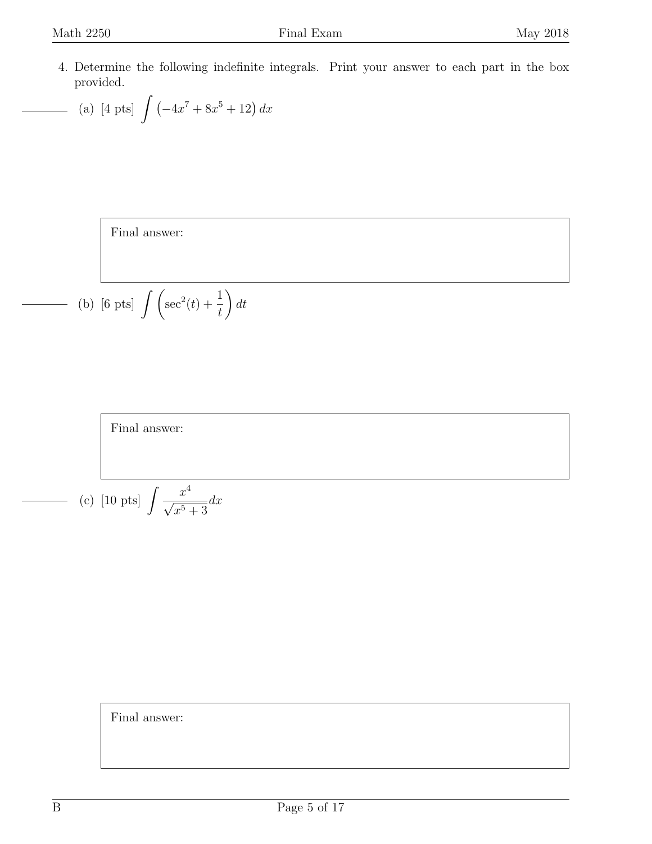<span id="page-4-0"></span>4. Determine the following indefinite integrals. Print your answer to each part in the box provided.

- (a) [4 pts] 
$$
\int \left( -4x^7 + 8x^5 + 12 \right) dx
$$

Final answer:

(b) [6 pts] 
$$
\int \left(\sec^2(t) + \frac{1}{t}\right) dt
$$

Final answer:

(c) [10 pts] 
$$
\int \frac{x^4}{\sqrt{x^5 + 3}} dx
$$

Final answer: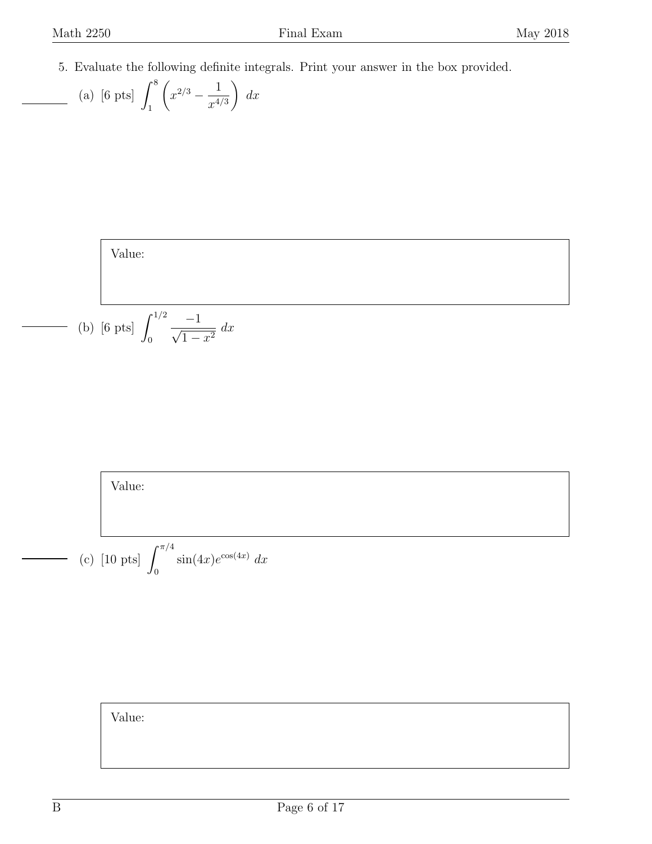$\Gamma$ 

 $\overline{\phantom{a}}$ 

<span id="page-5-0"></span>5. Evaluate the following definite integrals. Print your answer in the box provided.

(a) [6 pts] 
$$
\int_1^8 \left( x^{2/3} - \frac{1}{x^{4/3}} \right) dx
$$

Value:  
(b) [6 pts] 
$$
\int_0^{1/2} \frac{-1}{\sqrt{1 - x^2}} dx
$$

Value:

(c) [10 pts] 
$$
\int_0^{\pi/4} \sin(4x) e^{\cos(4x)} dx
$$

Value: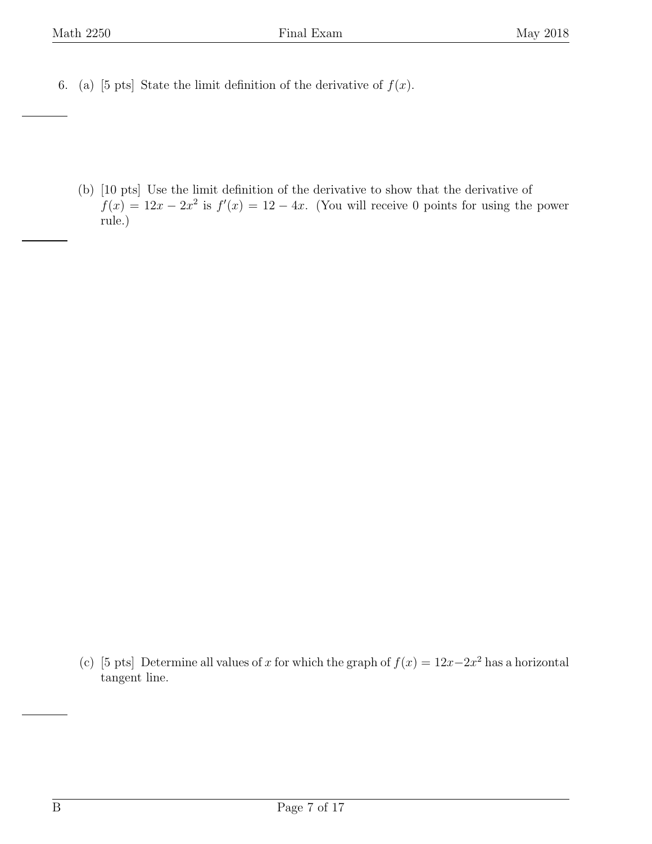<span id="page-6-0"></span>6. (a) [5 pts] State the limit definition of the derivative of  $f(x)$ .

(b) [10 pts] Use the limit definition of the derivative to show that the derivative of  $f(x) = 12x - 2x^2$  is  $f'(x) = 12 - 4x$ . (You will receive 0 points for using the power rule.)

(c) [5 pts] Determine all values of x for which the graph of  $f(x) = 12x-2x^2$  has a horizontal tangent line.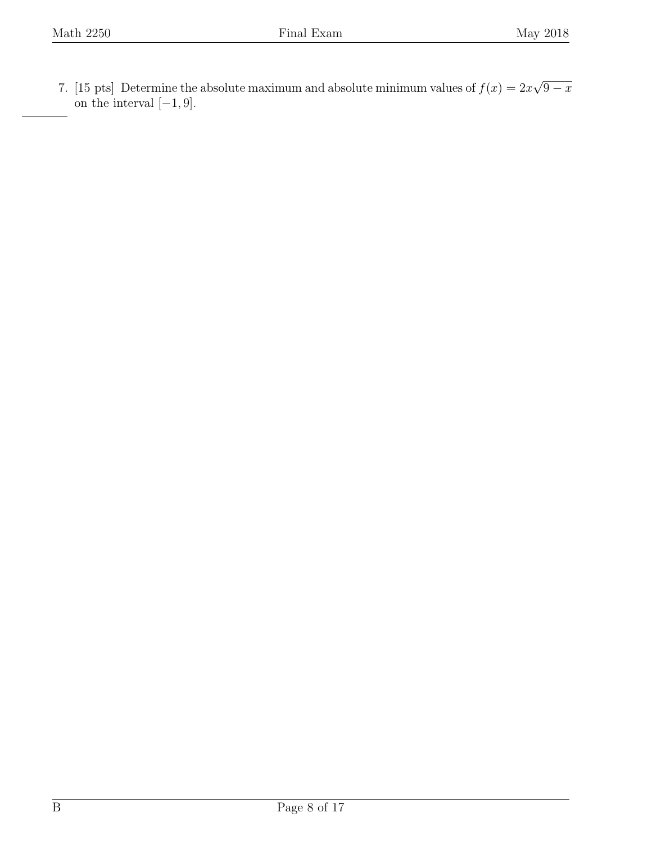<span id="page-7-0"></span>7. [15 pts] Determine the absolute maximum and absolute minimum values of  $f(x) = 2x$ √  $\overline{9-x}$ on the interval  $[-1, 9]$ .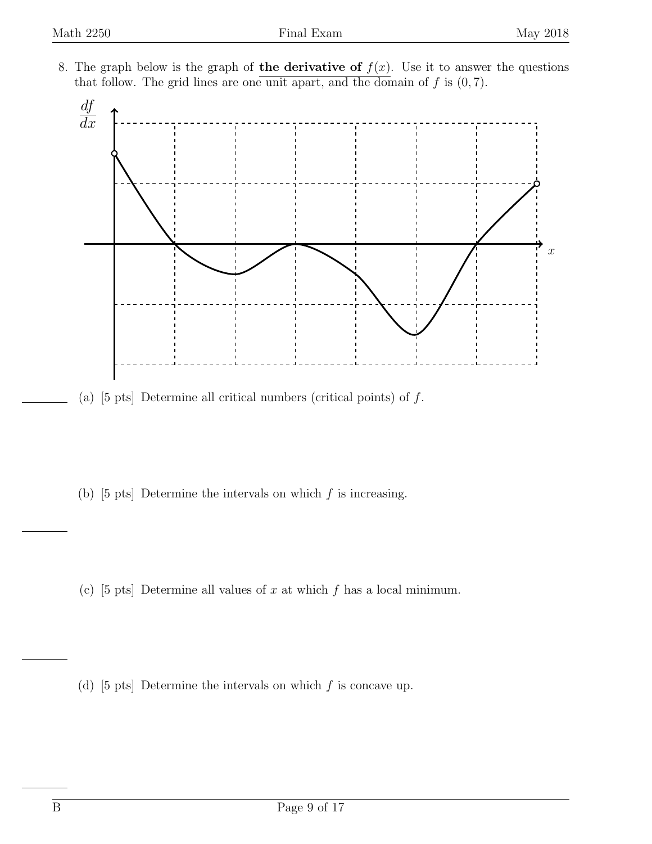<span id="page-8-0"></span>8. The graph below is the graph of the derivative of  $f(x)$ . Use it to answer the questions that follow. The grid lines are one unit apart, and the domain of  $f$  is  $(0, 7)$ .



- (a)  $[5 \text{ pts}]$  Determine all critical numbers (critical points) of  $f$ .
- (b)  $[5 \text{ pts}]$  Determine the intervals on which f is increasing.
- (c) [5 pts] Determine all values of x at which f has a local minimum.
- (d) [5 pts] Determine the intervals on which  $f$  is concave up.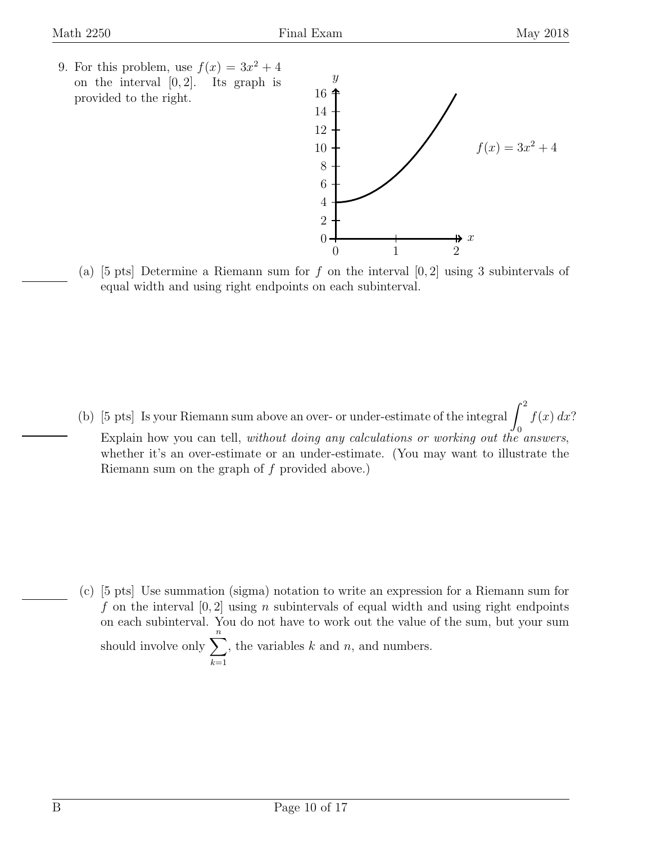<span id="page-9-0"></span>9. For this problem, use  $f(x) = 3x^2 + 4$ on the interval  $[0, 2]$ . Its graph is provided to the right.



(a) [5 pts] Determine a Riemann sum for f on the interval  $[0,2]$  using 3 subintervals of equal width and using right endpoints on each subinterval.

(b) [5 pts] Is your Riemann sum above an over- or under-estimate of the integral  $\int_1^2$ 0  $f(x) dx$ ? Explain how you can tell, without doing any calculations or working out the answers, whether it's an over-estimate or an under-estimate. (You may want to illustrate the Riemann sum on the graph of f provided above.)

(c) [5 pts] Use summation (sigma) notation to write an expression for a Riemann sum for f on the interval  $[0, 2]$  using n subintervals of equal width and using right endpoints on each subinterval. You do not have to work out the value of the sum, but your sum should involve only  $\sum_{n=1}^n$  $k=1$ , the variables  $k$  and  $n$ , and numbers.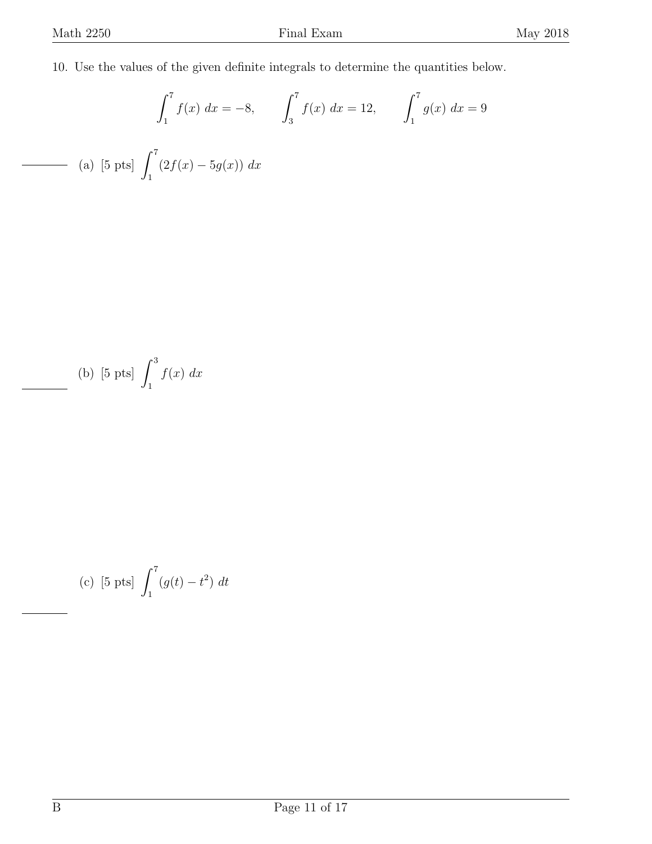<span id="page-10-0"></span>10. Use the values of the given definite integrals to determine the quantities below.

$$
\int_{1}^{7} f(x) dx = -8, \qquad \int_{3}^{7} f(x) dx = 12, \qquad \int_{1}^{7} g(x) dx = 9
$$
  
(a) [5 pts]  $\int_{1}^{7} (2f(x) - 5g(x)) dx$ 

(b) [5 pts] 
$$
\int_{1}^{3} f(x) dx
$$

(c) [5 pts] 
$$
\int_1^7 (g(t) - t^2) dt
$$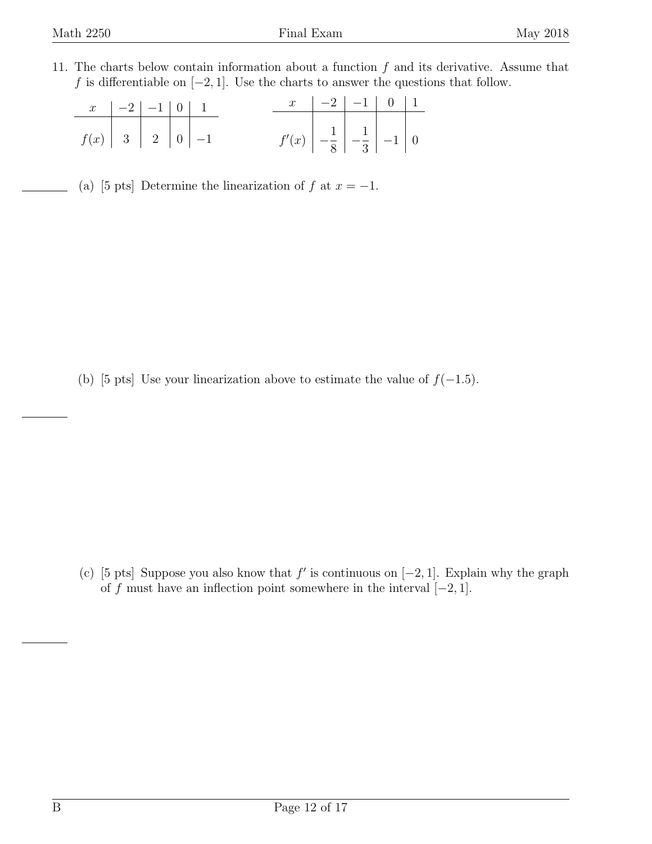<span id="page-11-0"></span>11. The charts below contain information about a function  $f$  and its derivative. Assume that f is differentiable on  $[-2, 1]$ . Use the charts to answer the questions that follow.

|                                                                    | $\begin{array}{ c c c c c c c c }\n\hline\nx & -2 & -1 & 0 & 1 \\ \hline\n\end{array}$ |  |  |                                                                                           | $x \mid -2 \mid -1 \mid 0 \mid 1$ |  |  |
|--------------------------------------------------------------------|----------------------------------------------------------------------------------------|--|--|-------------------------------------------------------------------------------------------|-----------------------------------|--|--|
| $f(x)$ 3 $\begin{array}{ c c c }\n\hline\n2 & 0 & -1\n\end{array}$ |                                                                                        |  |  | $f'(x)$ $\begin{array}{ c c c }\n\hline\n-\frac{1}{8} & -\frac{1}{3} & -1\n\end{array}$ 0 |                                   |  |  |

(a) [5 pts] Determine the linearization of f at  $x = -1$ .

(b) [5 pts] Use your linearization above to estimate the value of  $f(-1.5)$ .

(c) [5 pts] Suppose you also know that  $f'$  is continuous on  $[-2, 1]$ . Explain why the graph of f must have an inflection point somewhere in the interval  $[-2, 1]$ .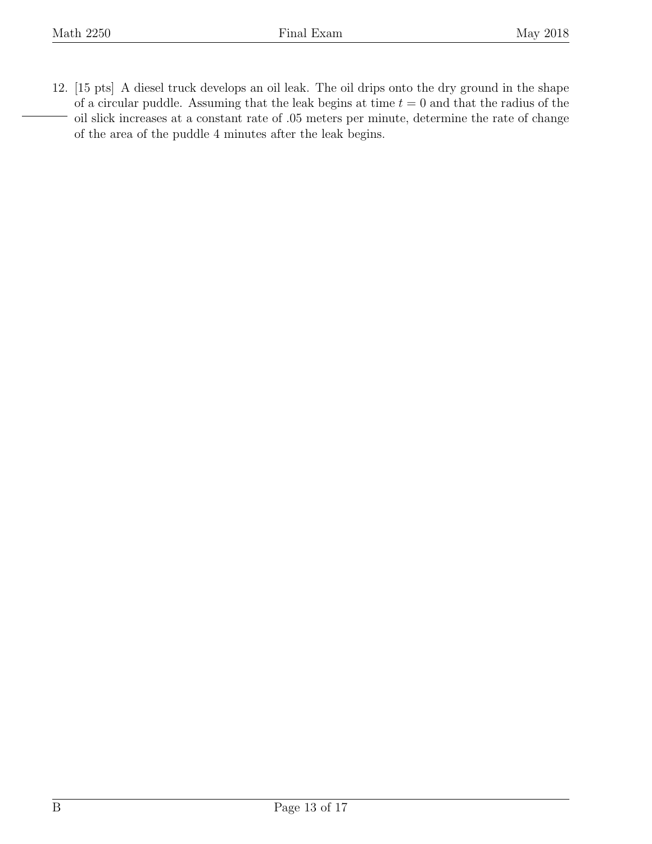<span id="page-12-0"></span>12. [15 pts] A diesel truck develops an oil leak. The oil drips onto the dry ground in the shape of a circular puddle. Assuming that the leak begins at time  $t = 0$  and that the radius of the oil slick increases at a constant rate of .05 meters per minute, determine the rate of change of the area of the puddle 4 minutes after the leak begins.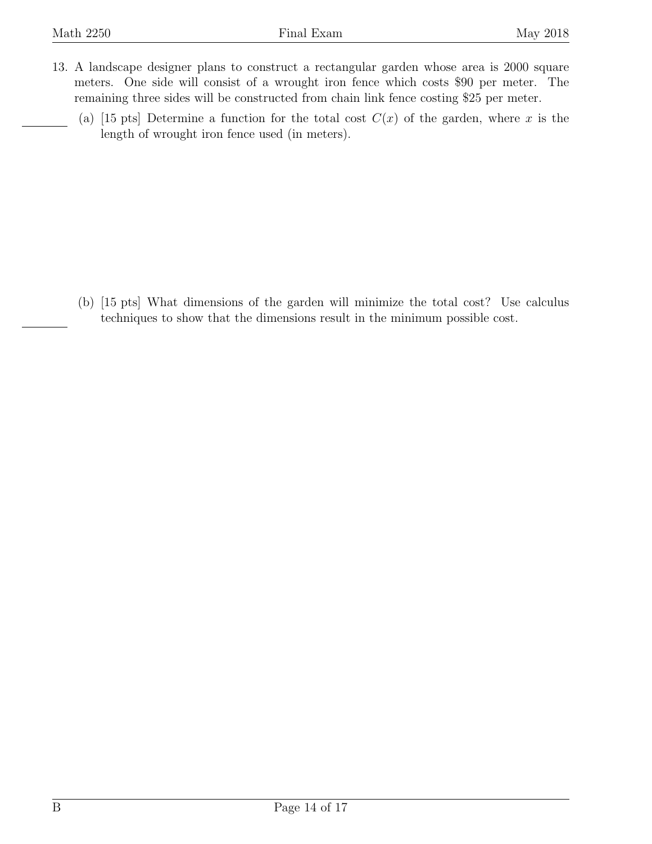- <span id="page-13-0"></span>13. A landscape designer plans to construct a rectangular garden whose area is 2000 square meters. One side will consist of a wrought iron fence which costs \$90 per meter. The remaining three sides will be constructed from chain link fence costing \$25 per meter.
	- (a) [15 pts] Determine a function for the total cost  $C(x)$  of the garden, where x is the length of wrought iron fence used (in meters).

(b) [15 pts] What dimensions of the garden will minimize the total cost? Use calculus techniques to show that the dimensions result in the minimum possible cost.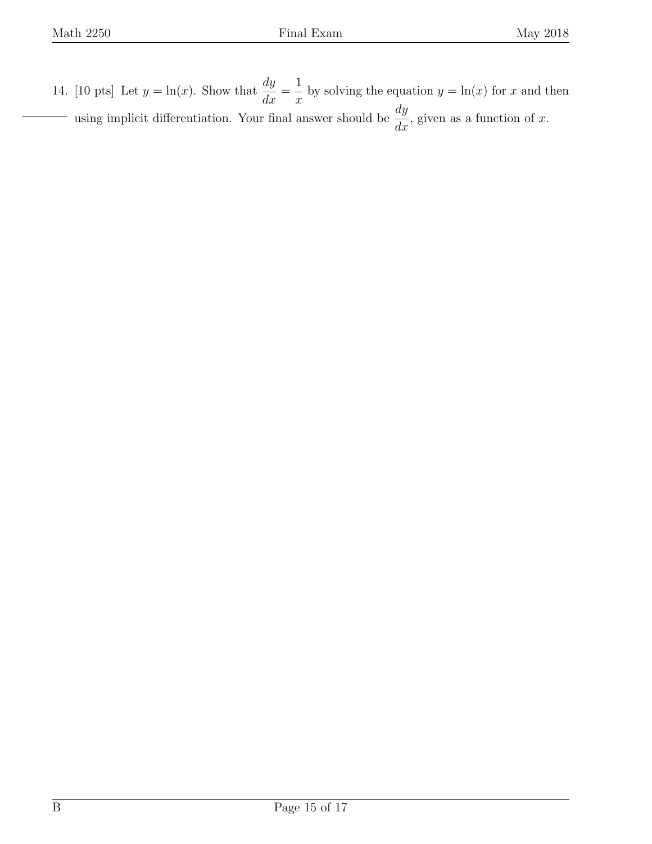<span id="page-14-0"></span>14. [10 pts] Let  $y = \ln(x)$ . Show that  $\frac{dy}{dx}$  $\frac{dy}{dx} =$ 1  $\overline{x}$ by solving the equation  $y = \ln(x)$  for x and then using implicit differentiation. Your final answer should be  $\frac{dy}{dx}$  $\frac{dy}{dx}$ , given as a function of x.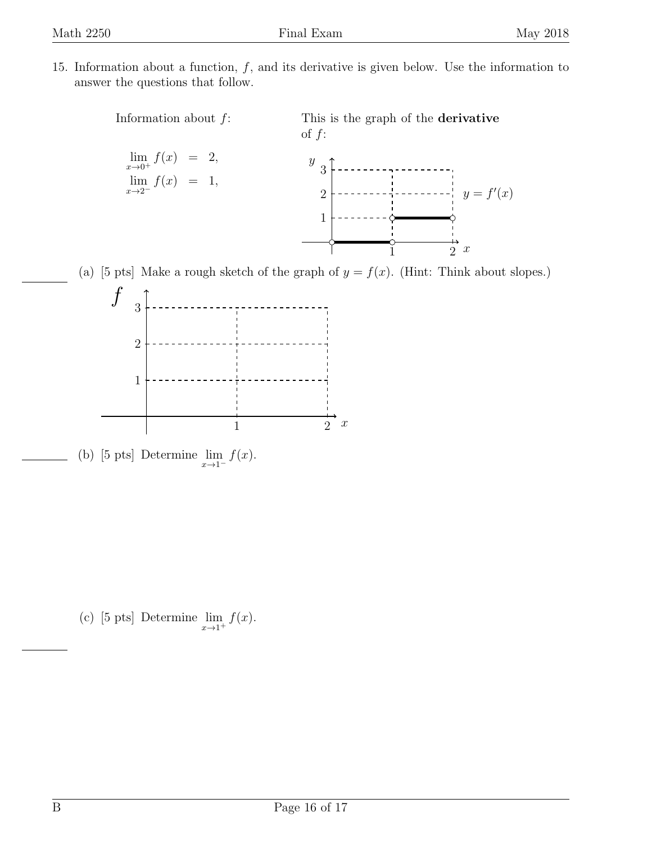<span id="page-15-0"></span>15. Information about a function,  $f$ , and its derivative is given below. Use the information to answer the questions that follow.



(a) [5 pts] Make a rough sketch of the graph of  $y = f(x)$ . (Hint: Think about slopes.)



(b) [5 pts] Determine  $\lim_{x\to 1^-} f(x)$ .

(c) [5 pts] Determine  $\lim_{x\to 1^+} f(x)$ .